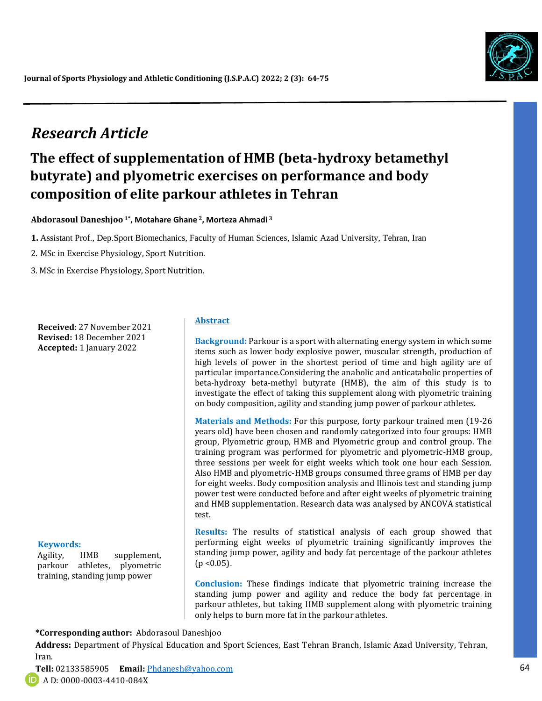

# *Research Article*

# **The effect of supplementation of HMB (beta-hydroxy betamethyl butyrate) and plyometric exercises on performance and body composition of elite parkour athletes in Tehran**

**Abdorasoul Daneshjoo 1\* , Motahare Ghane <sup>2</sup>, Morteza Ahmadi <sup>3</sup>**

**1.** Assistant Prof., Dep.Sport Biomechanics, Faculty of Human Sciences, Islamic Azad University, Tehran, Iran

2. MSc in Exercise Physiology, Sport Nutrition.

3. MSc in Exercise Physiology, Sport Nutrition.

**Received**: 27 November 2021 **Revised:** 18 December 2021 **Accepted:** 1 January 2022

#### **Keywords:**

Agility, HMB supplement, parkour athletes, plyometric training, standing jump power

#### **Abstract**

**Background:** Parkour is a sport with alternating energy system in which some items such as lower body explosive power, muscular strength, production of high levels of power in the shortest period of time and high agility are of particular importance.Considering the anabolic and anticatabolic properties of beta-hydroxy beta-methyl butyrate (HMB), the aim of this study is to investigate the effect of taking this supplement along with plyometric training on body composition, agility and standing jump power of parkour athletes.

**Materials and Methods:** For this purpose, forty parkour trained men (19-26 years old) have been chosen and randomly categorized into four groups: HMB group, Plyometric group, HMB and Plyometric group and control group. The training program was performed for plyometric and plyometric-HMB group, three sessions per week for eight weeks which took one hour each Session. Also HMB and plyometric-HMB groups consumed three grams of HMB per day for eight weeks. Body composition analysis and Illinois test and standing jump power test were conducted before and after eight weeks of plyometric training and HMB supplementation. Research data was analysed by ANCOVA statistical test.

**Results:** The results of statistical analysis of each group showed that performing eight weeks of plyometric training significantly improves the standing jump power, agility and body fat percentage of the parkour athletes  $(p < 0.05)$ .

**Conclusion:** These findings indicate that plyometric training increase the standing jump power and agility and reduce the body fat percentage in parkour athletes, but taking HMB supplement along with plyometric training only helps to burn more fat in the parkour athletes.

**\*Corresponding author:** Abdorasoul Daneshjoo

**Address:** Department of Physical Education and Sport Sciences, East Tehran Branch, Islamic Azad University, Tehran, Iran.

*Talk*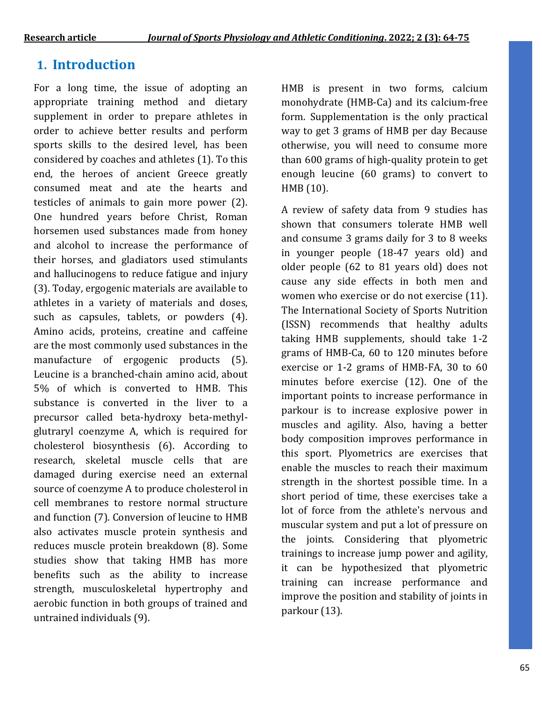# **1. Introduction**

For a long time, the issue of adopting an appropriate training method and dietary supplement in order to prepare athletes in order to achieve better results and perform sports skills to the desired level, has been considered by coaches and athletes (1). To this end, the heroes of ancient Greece greatly consumed meat and ate the hearts and testicles of animals to gain more power (2). One hundred years before Christ, Roman horsemen used substances made from honey and alcohol to increase the performance of their horses, and gladiators used stimulants and hallucinogens to reduce fatigue and injury (3). Today, ergogenic materials are available to athletes in a variety of materials and doses, such as capsules, tablets, or powders (4). Amino acids, proteins, creatine and caffeine are the most commonly used substances in the manufacture of ergogenic products (5). Leucine is a branched-chain amino acid, about 5% of which is converted to HMB. This substance is converted in the liver to a precursor called beta-hydroxy beta-methylglutraryl coenzyme A, which is required for cholesterol biosynthesis (6). According to research, skeletal muscle cells that are damaged during exercise need an external source of coenzyme A to produce cholesterol in cell membranes to restore normal structure and function (7). Conversion of leucine to HMB also activates muscle protein synthesis and reduces muscle protein breakdown (8). Some studies show that taking HMB has more benefits such as the ability to increase strength, musculoskeletal hypertrophy and aerobic function in both groups of trained and untrained individuals (9).

HMB is present in two forms, calcium monohydrate (HMB-Ca) and its calcium-free form. Supplementation is the only practical way to get 3 grams of HMB per day Because otherwise, you will need to consume more than 600 grams of high-quality protein to get enough leucine (60 grams) to convert to HMB (10).

A review of safety data from 9 studies has shown that consumers tolerate HMB well and consume 3 grams daily for 3 to 8 weeks in younger people (18-47 years old) and older people (62 to 81 years old) does not cause any side effects in both men and women who exercise or do not exercise (11). The International Society of Sports Nutrition (ISSN) recommends that healthy adults taking HMB supplements, should take 1-2 grams of HMB-Ca, 60 to 120 minutes before exercise or 1-2 grams of HMB-FA, 30 to 60 minutes before exercise (12). One of the important points to increase performance in parkour is to increase explosive power in muscles and agility. Also, having a better body composition improves performance in this sport. Plyometrics are exercises that enable the muscles to reach their maximum strength in the shortest possible time. In a short period of time, these exercises take a lot of force from the athlete's nervous and muscular system and put a lot of pressure on the joints. Considering that plyometric trainings to increase jump power and agility, it can be hypothesized that plyometric training can increase performance and improve the position and stability of joints in parkour (13).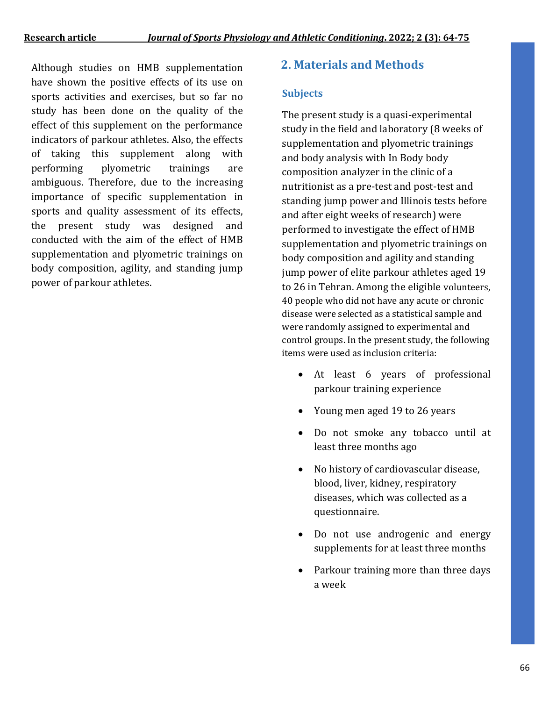Although studies on HMB supplementation **2. Materials and Methods** have shown the positive effects of its use on sports activities and exercises, but so far no study has been done on the quality of the effect of this supplement on the performance indicators of parkour athletes. Also, the effects of taking this supplement along with performing plyometric trainings are ambiguous. Therefore, due to the increasing importance of specific supplementation in sports and quality assessment of its effects, the present study was designed and conducted with the aim of the effect of HMB supplementation and plyometric trainings on body composition, agility, and standing jump power of parkour athletes.

## **Subjects**

The present study is a quasi-experimental study in the field and laboratory (8 weeks of supplementation and plyometric trainings and body analysis with In Body body composition analyzer in the clinic of a nutritionist as a pre-test and post-test and standing jump power and Illinois tests before and after eight weeks of research) were performed to investigate the effect of HMB supplementation and plyometric trainings on body composition and agility and standing jump power of elite parkour athletes aged 19 to 26 in Tehran. Among the eligible volunteers, 40 people who did not have any acute or chronic disease were selected as a statistical sample and were randomly assigned to experimental and control groups. In the present study, the following items were used as inclusion criteria:

- At least 6 years of professional parkour training experience
- Young men aged 19 to 26 years
- Do not smoke any tobacco until at least three months ago
- No history of cardiovascular disease, blood, liver, kidney, respiratory diseases, which was collected as a questionnaire.
- Do not use androgenic and energy supplements for at least three months
- Parkour training more than three days a week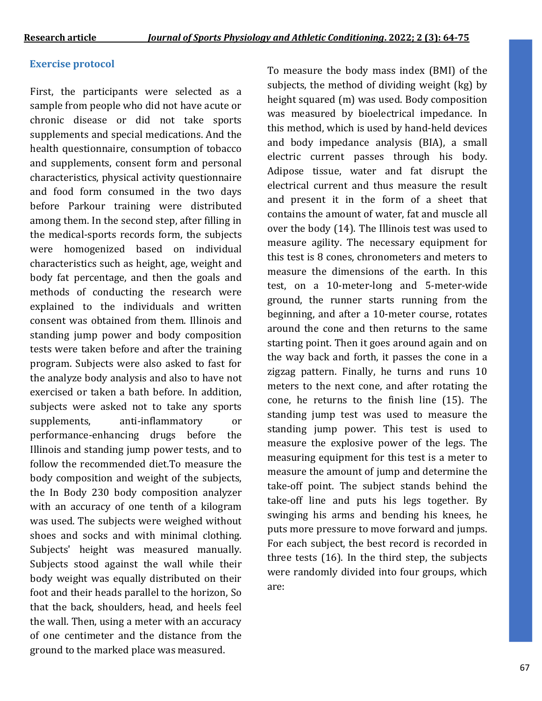## **Exercise protocol**

First, the participants were selected as a sample from people who did not have acute or chronic disease or did not take sports supplements and special medications. And the health questionnaire, consumption of tobacco and supplements, consent form and personal characteristics, physical activity questionnaire and food form consumed in the two days before Parkour training were distributed among them. In the second step, after filling in the medical-sports records form, the subjects were homogenized based on individual characteristics such as height, age, weight and body fat percentage, and then the goals and methods of conducting the research were explained to the individuals and written consent was obtained from them. Illinois and standing jump power and body composition tests were taken before and after the training program. Subjects were also asked to fast for the analyze body analysis and also to have not exercised or taken a bath before. In addition, subjects were asked not to take any sports supplements, anti-inflammatory or performance-enhancing drugs before the Illinois and standing jump power tests, and to follow the recommended diet.To measure the body composition and weight of the subjects, the In Body 230 body composition analyzer with an accuracy of one tenth of a kilogram was used. The subjects were weighed without shoes and socks and with minimal clothing. Subjects' height was measured manually. Subjects stood against the wall while their body weight was equally distributed on their foot and their heads parallel to the horizon, So that the back, shoulders, head, and heels feel the wall. Then, using a meter with an accuracy of one centimeter and the distance from the ground to the marked place was measured.

To measure the body mass index (BMI) of the subjects, the method of dividing weight (kg) by height squared (m) was used. Body composition was measured by bioelectrical impedance. In this method, which is used by hand-held devices and body impedance analysis (BIA), a small electric current passes through his body. Adipose tissue, water and fat disrupt the electrical current and thus measure the result and present it in the form of a sheet that contains the amount of water, fat and muscle all over the body (14). The Illinois test was used to measure agility. The necessary equipment for this test is 8 cones, chronometers and meters to measure the dimensions of the earth. In this test, on a 10-meter-long and 5-meter-wide ground, the runner starts running from the beginning, and after a 10-meter course, rotates around the cone and then returns to the same starting point. Then it goes around again and on the way back and forth, it passes the cone in a zigzag pattern. Finally, he turns and runs 10 meters to the next cone, and after rotating the cone, he returns to the finish line (15). The standing jump test was used to measure the standing jump power. This test is used to measure the explosive power of the legs. The measuring equipment for this test is a meter to measure the amount of jump and determine the take-off point. The subject stands behind the take-off line and puts his legs together. By swinging his arms and bending his knees, he puts more pressure to move forward and jumps. For each subject, the best record is recorded in three tests (16). In the third step, the subjects were randomly divided into four groups, which are: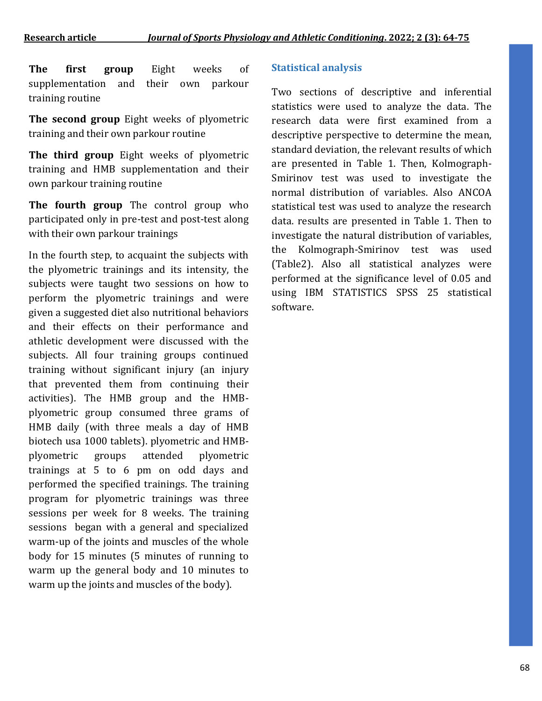**The first group** Eight weeks of supplementation and their own parkour training routine

**The second group** Eight weeks of plyometric training and their own parkour routine

**The third group** Eight weeks of plyometric training and HMB supplementation and their own parkour training routine

**The fourth group** The control group who participated only in pre-test and post-test along with their own parkour trainings

In the fourth step, to acquaint the subjects with the plyometric trainings and its intensity, the subjects were taught two sessions on how to perform the plyometric trainings and were given a suggested diet also nutritional behaviors and their effects on their performance and athletic development were discussed with the subjects. All four training groups continued training without significant injury (an injury that prevented them from continuing their activities). The HMB group and the HMBplyometric group consumed three grams of HMB daily (with three meals a day of HMB biotech usa 1000 tablets). plyometric and HMBplyometric groups attended plyometric trainings at 5 to 6 pm on odd days and performed the specified trainings. The training program for plyometric trainings was three sessions per week for 8 weeks. The training sessions began with a general and specialized warm-up of the joints and muscles of the whole body for 15 minutes (5 minutes of running to warm up the general body and 10 minutes to warm up the joints and muscles of the body).

### **Statistical analysis**

Two sections of descriptive and inferential statistics were used to analyze the data. The research data were first examined from a descriptive perspective to determine the mean, standard deviation, the relevant results of which are presented in Table 1. Then, Kolmograph-Smirinov test was used to investigate the normal distribution of variables. Also ANCOA statistical test was used to analyze the research data. results are presented in Table 1. Then to investigate the natural distribution of variables, the Kolmograph-Smirinov test was used (Table2). Also all statistical analyzes were performed at the significance level of 0.05 and using IBM STATISTICS SPSS 25 statistical software.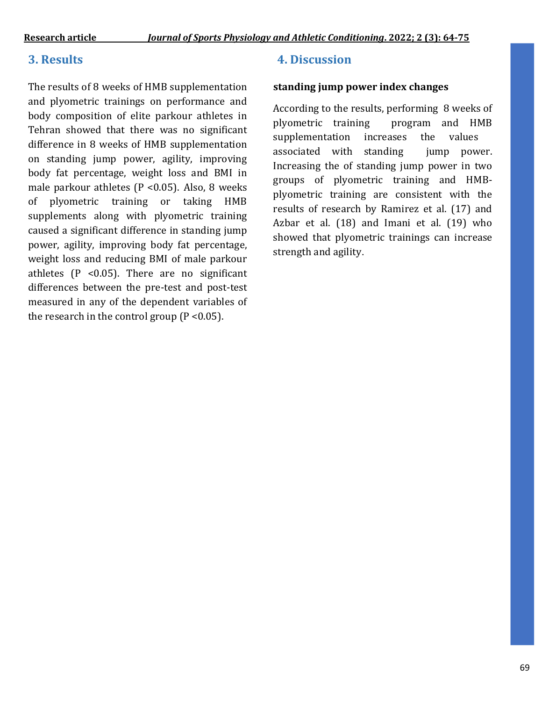The results of 8 weeks of HMB supplementation and plyometric trainings on performance and body composition of elite parkour athletes in Tehran showed that there was no significant difference in 8 weeks of HMB supplementation on standing jump power, agility, improving body fat percentage, weight loss and BMI in male parkour athletes ( $P$  <0.05). Also, 8 weeks of plyometric training or taking HMB supplements along with plyometric training caused a significant difference in standing jump power, agility, improving body fat percentage, weight loss and reducing BMI of male parkour athletes  $(P \le 0.05)$ . There are no significant differences between the pre-test and post-test measured in any of the dependent variables of the research in the control group  $(P < 0.05)$ .

# **3. Results 4. Discussion**

### **standing jump power index changes**

According to the results, performing 8 weeks of plyometric training program and HMB supplementation increases the values associated with standing jump power. Increasing the of standing jump power in two groups of plyometric training and HMBplyometric training are consistent with the results of research by Ramirez et al. (17) and Azbar et al. (18) and Imani et al. (19) who showed that plyometric trainings can increase strength and agility.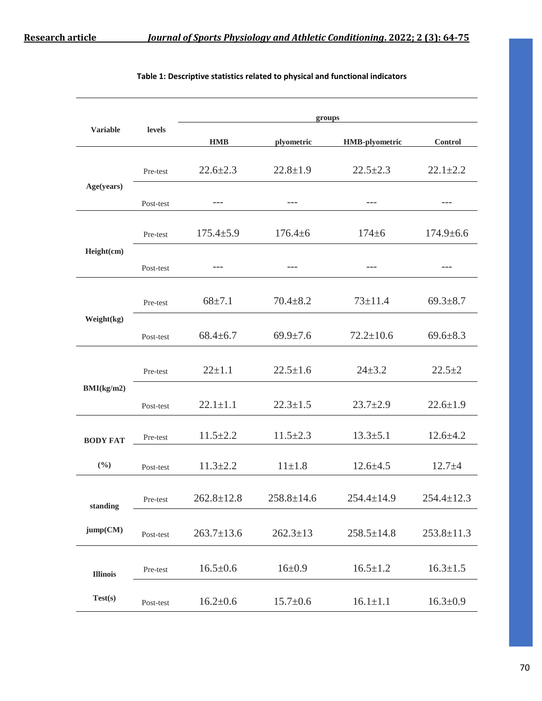|                 | <b>levels</b> | groups           |                  |                       |                  |  |  |
|-----------------|---------------|------------------|------------------|-----------------------|------------------|--|--|
| <b>Variable</b> |               | <b>HMB</b>       | plyometric       | <b>HMB-plyometric</b> | Control          |  |  |
| Age(years)      | Pre-test      | $22.6 \pm 2.3$   | $22.8 \pm 1.9$   | $22.5 \pm 2.3$        | $22.1 \pm 2.2$   |  |  |
|                 | Post-test     | ---              | $---$            | $---$                 | $---$            |  |  |
|                 | Pre-test      | $175.4 \pm 5.9$  | $176.4 \pm 6$    | $174 + 6$             | $174.9 \pm 6.6$  |  |  |
| Height(cm)      | Post-test     | ---              |                  |                       |                  |  |  |
| Weight(kg)      | Pre-test      | $68 \pm 7.1$     | $70.4 \pm 8.2$   | $73 \pm 11.4$         | $69.3 \pm 8.7$   |  |  |
|                 | Post-test     | $68.4 \pm 6.7$   | $69.9 \pm 7.6$   | $72.2 \pm 10.6$       | $69.6 \pm 8.3$   |  |  |
| BMI(kg/m2)      | Pre-test      | $22 \pm 1.1$     | $22.5 \pm 1.6$   | $24 + 3.2$            | $22.5 + 2$       |  |  |
|                 | Post-test     | $22.1 \pm 1.1$   | $22.3 \pm 1.5$   | $23.7 \pm 2.9$        | $22.6 \pm 1.9$   |  |  |
| <b>BODY FAT</b> | Pre-test      | $11.5 \pm 2.2$   | $11.5 \pm 2.3$   | $13.3 \pm 5.1$        | $12.6 \pm 4.2$   |  |  |
| (9/0)           | Post-test     | $11.3 \pm 2.2$   | $11 \pm 1.8$     | $12.6 \pm 4.5$        | $12.7 + 4$       |  |  |
| standing        | Pre-test      | $262.8 \pm 12.8$ | $258.8 \pm 14.6$ | $254.4 \pm 14.9$      | $254.4 \pm 12.3$ |  |  |
| jump(CM)        | Post-test     | $263.7 \pm 13.6$ | $262.3 \pm 13$   | $258.5 \pm 14.8$      | $253.8 \pm 11.3$ |  |  |
| <b>Illinois</b> | Pre-test      | $16.5 \pm 0.6$   | $16 \pm 0.9$     | $16.5 \pm 1.2$        | $16.3 \pm 1.5$   |  |  |
| Test(s)         | Post-test     | $16.2 \pm 0.6$   | $15.7 \pm 0.6$   | $16.1 \pm 1.1$        | $16.3 \pm 0.9$   |  |  |

### **Table 1: Descriptive statistics related to physical and functional indicators**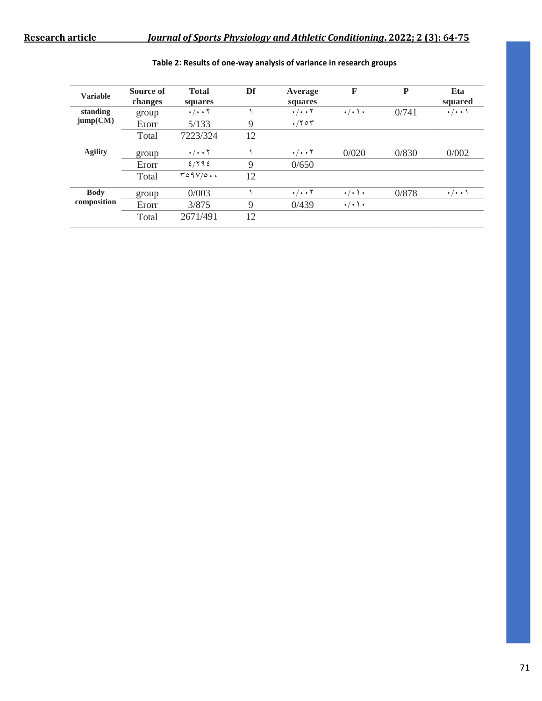| <b>Variable</b>            | Source of<br>changes | <b>Total</b><br>squares | Df | Average<br>squares   | F                       | P     | Eta<br>squared     |
|----------------------------|----------------------|-------------------------|----|----------------------|-------------------------|-------|--------------------|
| standing<br>jump(CM)       | group                | $\cdot/\cdot\cdot$ Y    |    | $\cdot/\cdot\cdot$ Y | $\cdot/\cdot$ ) $\cdot$ | 0/741 | $\cdot/\cdot\cdot$ |
|                            | Erorr                | 5/133                   | 9  | $\cdot$ /۲۰۳         |                         |       |                    |
|                            | Total                | 7223/324                | 12 |                      |                         |       |                    |
| <b>Agility</b>             | group                | $\cdot/\cdot\cdot$ Y    |    | $\cdot/\cdot\cdot$ Y | 0/020                   | 0/830 | 0/002              |
|                            | Erorr                | 2/792                   | 9  | 0/650                |                         |       |                    |
|                            | Total                | T09V/0                  | 12 |                      |                         |       |                    |
| <b>Body</b><br>composition | group                | 0/003                   |    | $\cdot/\cdot\cdot$ Y | $\cdot/\cdot$ ) $\cdot$ | 0/878 | $\cdot/\cdot\cdot$ |
|                            | Erorr                | 3/875                   | 9  | 0/439                | $\cdot/\cdot$ ) $\cdot$ |       |                    |
|                            | Total                | 2671/491                | 12 |                      |                         |       |                    |

### **Table 2: Results of one-way analysis of variance in research groups**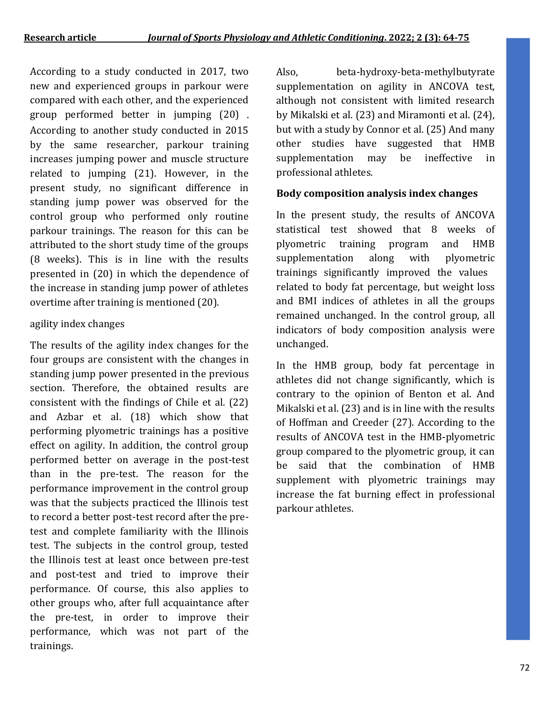According to a study conducted in 2017, two new and experienced groups in parkour were compared with each other, and the experienced group performed better in jumping (20) . According to another study conducted in 2015 by the same researcher, parkour training increases jumping power and muscle structure related to jumping (21). However, in the present study, no significant difference in standing jump power was observed for the control group who performed only routine parkour trainings. The reason for this can be attributed to the short study time of the groups (8 weeks). This is in line with the results presented in (20) in which the dependence of the increase in standing jump power of athletes overtime after training is mentioned (20).

## agility index changes

The results of the agility index changes for the four groups are consistent with the changes in standing jump power presented in the previous section. Therefore, the obtained results are consistent with the findings of Chile et al. (22) and Azbar et al. (18) which show that performing plyometric trainings has a positive effect on agility. In addition, the control group performed better on average in the post-test than in the pre-test. The reason for the performance improvement in the control group was that the subjects practiced the Illinois test to record a better post-test record after the pretest and complete familiarity with the Illinois test. The subjects in the control group, tested the Illinois test at least once between pre-test and post-test and tried to improve their performance. Of course, this also applies to other groups who, after full acquaintance after the pre-test, in order to improve their performance, which was not part of the trainings.

Also, beta-hydroxy-beta-methylbutyrate supplementation on agility in ANCOVA test, although not consistent with limited research by Mikalski et al. (23) and Miramonti et al. (24), but with a study by Connor et al. (25) And many other studies have suggested that HMB supplementation may be ineffective in professional athletes.

# **Body composition analysis index changes**

In the present study, the results of ANCOVA statistical test showed that 8 weeks of plyometric training program and HMB supplementation along with plyometric trainings significantly improved the values related to body fat percentage, but weight loss and BMI indices of athletes in all the groups remained unchanged. In the control group, all indicators of body composition analysis were unchanged.

In the HMB group, body fat percentage in athletes did not change significantly, which is contrary to the opinion of Benton et al. And Mikalski et al. (23) and is in line with the results of Hoffman and Creeder (27). According to the results of ANCOVA test in the HMB-plyometric group compared to the plyometric group, it can be said that the combination of HMB supplement with plyometric trainings may increase the fat burning effect in professional parkour athletes.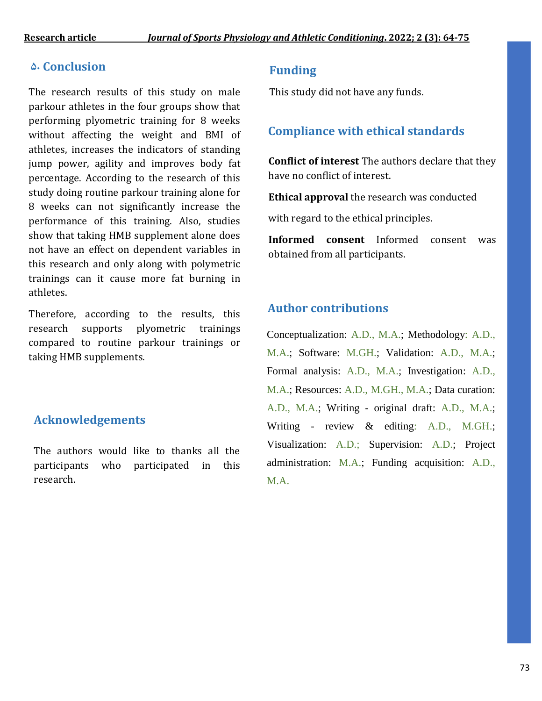# **5. Conclusion Funding**

The research results of this study on male parkour athletes in the four groups show that performing plyometric training for 8 weeks without affecting the weight and BMI of athletes, increases the indicators of standing jump power, agility and improves body fat percentage. According to the research of this study doing routine parkour training alone for 8 weeks can not significantly increase the performance of this training. Also, studies show that taking HMB supplement alone does not have an effect on dependent variables in this research and only along with polymetric trainings can it cause more fat burning in athletes.

Therefore, according to the results, this research supports plyometric trainings compared to routine parkour trainings or taking HMB supplements.

# **Acknowledgements**

The authors would like to thanks all the participants who participated in this research.

This study did not have any funds.

# **Compliance with ethical standards**

**Conflict of interest** The authors declare that they have no conflict of interest.

**Ethical approval** the research was conducted

with regard to the ethical principles.

**Informed consent** Informed consent was obtained from all participants.

# **Author contributions**

Conceptualization: A.D., M.A.; Methodology: A.D., M.A.; Software: M.GH.; Validation: A.D., M.A.; Formal analysis: A.D., M.A.; Investigation: A.D., M.A.; Resources: A.D., M.GH., M.A.; Data curation: A.D., M.A.; Writing - original draft: A.D., M.A.; Writing - review & editing: A.D., M.GH.; Visualization: A.D.; Supervision: A.D.; Project administration: M.A.; Funding acquisition: A.D., M.A.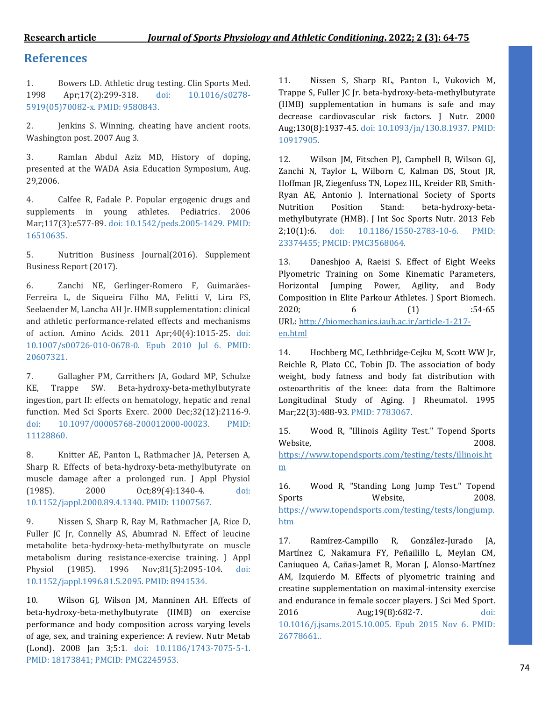## **References**

1. Bowers LD. Athletic drug testing. Clin Sports Med. 1998 Apr;17(2):299-318. doi: 10.1016/s0278- 5919(05)70082-x. PMID: 9580843.

2. **Jenkins S. Winning, cheating have ancient roots.** Washington post. 2007 Aug 3.

3. Ramlan Abdul Aziz MD, History of doping, presented at the WADA Asia Education Symposium, Aug. 29,2006.

4. Calfee R, Fadale P. Popular ergogenic drugs and supplements in young athletes. Pediatrics. 2006 Mar;117(3):e577-89. doi: 10.1542/peds.2005-1429. PMID: 16510635.

5. Nutrition Business Journal(2016). Supplement Business Report (2017).

6. Zanchi NE, Gerlinger-Romero F, Guimarães-Ferreira L, de Siqueira Filho MA, Felitti V, Lira FS, Seelaender M, Lancha AH Jr. HMB supplementation: clinical and athletic performance-related effects and mechanisms of action. Amino Acids. 2011 Apr;40(4):1015-25. doi: 10.1007/s00726-010-0678-0. Epub 2010 Jul 6. PMID: 20607321.

7. Gallagher PM, Carrithers JA, Godard MP, Schulze KE, Trappe SW. Beta-hydroxy-beta-methylbutyrate ingestion, part II: effects on hematology, hepatic and renal function. Med Sci Sports Exerc. 2000 Dec;32(12):2116-9. doi: 10.1097/00005768-200012000-00023. PMID: 11128860.

8. Knitter AE, Panton L, Rathmacher JA, Petersen A, Sharp R. Effects of beta-hydroxy-beta-methylbutyrate on muscle damage after a prolonged run. J Appl Physiol (1985). 2000 Oct;89(4):1340-4. doi: 10.1152/jappl.2000.89.4.1340. PMID: 11007567.

9. Nissen S, Sharp R, Ray M, Rathmacher JA, Rice D, Fuller JC Jr, Connelly AS, Abumrad N. Effect of leucine metabolite beta-hydroxy-beta-methylbutyrate on muscle metabolism during resistance-exercise training. J Appl Physiol (1985). 1996 Nov;81(5):2095-104. doi: 10.1152/jappl.1996.81.5.2095. PMID: 8941534.

10. Wilson GJ, Wilson JM, Manninen AH. Effects of beta-hydroxy-beta-methylbutyrate (HMB) on exercise performance and body composition across varying levels of age, sex, and training experience: A review. Nutr Metab (Lond). 2008 Jan 3;5:1. doi: 10.1186/1743-7075-5-1. PMID: 18173841; PMCID: PMC2245953.

11. Nissen S, Sharp RL, Panton L, Vukovich M, Trappe S, Fuller JC Jr. beta-hydroxy-beta-methylbutyrate (HMB) supplementation in humans is safe and may decrease cardiovascular risk factors. J Nutr. 2000 Aug;130(8):1937-45. doi: 10.1093/jn/130.8.1937. PMID: 10917905.

12. Wilson JM, Fitschen PJ, Campbell B, Wilson GJ, Zanchi N, Taylor L, Wilborn C, Kalman DS, Stout JR, Hoffman JR, Ziegenfuss TN, Lopez HL, Kreider RB, Smith-Ryan AE, Antonio J. International Society of Sports Nutrition Position Stand: beta-hydroxy-betamethylbutyrate (HMB). J Int Soc Sports Nutr. 2013 Feb 2;10(1):6. doi: 10.1186/1550-2783-10-6. PMID: 23374455; PMCID: PMC3568064.

13. Daneshjoo A, Raeisi S. Effect of Eight Weeks Plyometric Training on Some Kinematic Parameters, Horizontal Jumping Power, Agility, and Body Composition in Elite Parkour Athletes. J Sport Biomech. 2020; 6 (1) :54-65 URL: [http://biomechanics.iauh.ac.ir/article-1-217](http://biomechanics.iauh.ac.ir/article-1-217-en.html) [en.html](http://biomechanics.iauh.ac.ir/article-1-217-en.html)

14. Hochberg MC, Lethbridge-Cejku M, Scott WW Jr, Reichle R, Plato CC, Tobin JD. The association of body weight, body fatness and body fat distribution with osteoarthritis of the knee: data from the Baltimore Longitudinal Study of Aging. J Rheumatol. 1995 Mar;22(3):488-93. PMID: 7783067.

15. Wood R, "Illinois Agility Test." Topend Sports Website, 2008. [https://www.topendsports.com/testing/tests/illinois.ht](https://www.topendsports.com/testing/tests/illinois.htm) [m](https://www.topendsports.com/testing/tests/illinois.htm)

16. Wood R, "Standing Long Jump Test." Topend Sports Website, 2008. https://www.topendsports.com/testing/tests/longjump. htm

17. Ramírez-Campillo R, González-Jurado JA, Martínez C, Nakamura FY, Peñailillo L, Meylan CM, Caniuqueo A, Cañas-Jamet R, Moran J, Alonso-Martínez AM, Izquierdo M. Effects of plyometric training and creatine supplementation on maximal-intensity exercise and endurance in female soccer players. J Sci Med Sport. 2016 Aug;19(8):682-7. doi: 10.1016/j.jsams.2015.10.005. Epub 2015 Nov 6. PMID: 26778661..